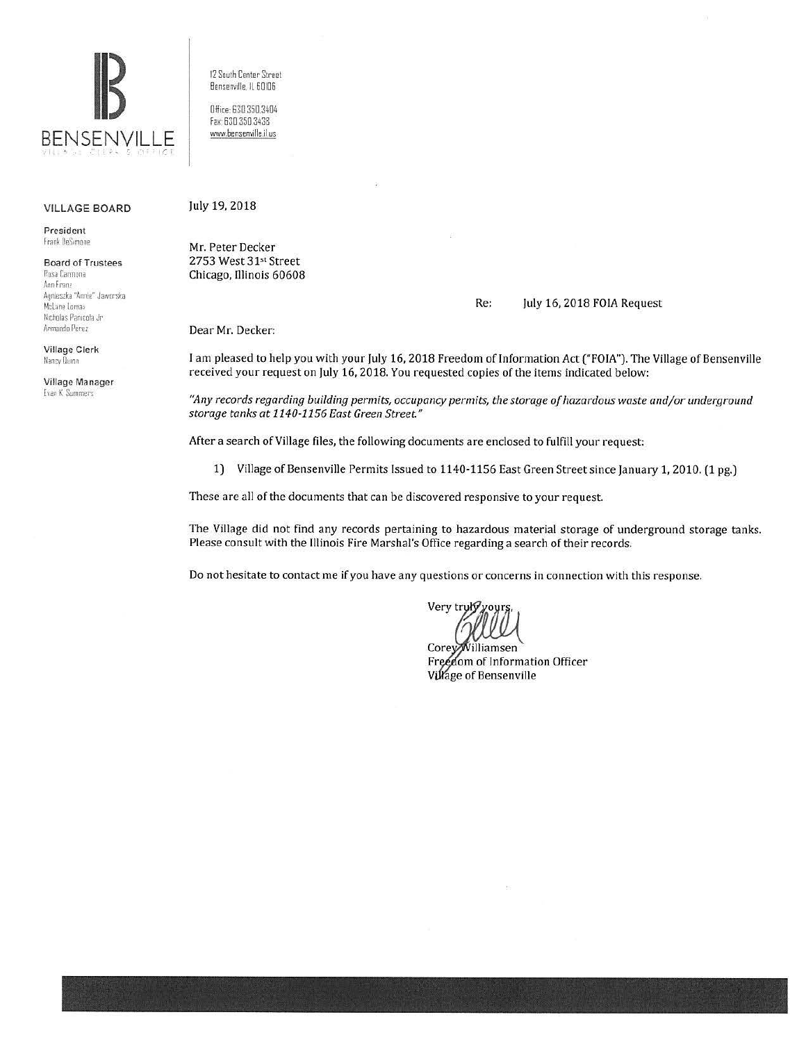

**VILLAGE BOARD** 

President Frank DeSimone

**Board of Trustees** 

Rosa Carmona Ann Franz Agnieszka "Annie" Jaworska McLane Lomax Nicholas Panicola Jr Armando Perez

Village Clerk Nancy Durinn

Village Manager **Evan K. Summers** 

12 South Center Street Bensenville, IL 60106

Office: 630.350.3404 Fax: 630 350 3438 www.bensenville.il.us

## July 19, 2018

Mr. Peter Decker 2753 West 31st Street Chicago, Illinois 60608

## Re: July 16, 2018 FOIA Request

Dear Mr. Decker:

I am pleased to help you with your July 16, 2018 Freedom of Information Act ("FOIA"). The Village of Bensenville received your request on July 16, 2018. You requested copies of the items indicated below:

"Any records regarding building permits, occupancy permits, the storage of hazardous waste and/or underground storage tanks at 1140-1156 East Green Street."

After a search of Village files, the following documents are enclosed to fulfill your request:

1) Village of Bensenville Permits Issued to 1140-1156 East Green Street since January 1, 2010. (1 pg.)

These are all of the documents that can be discovered responsive to your request.

The Village did not find any records pertaining to hazardous material storage of underground storage tanks. Please consult with the Illinois Fire Marshal's Office regarding a search of their records.

Do not hesitate to contact me if you have any questions or concerns in connection with this response.

Very truh

Corey Williamsen Freedom of Information Officer Village of Bensenville